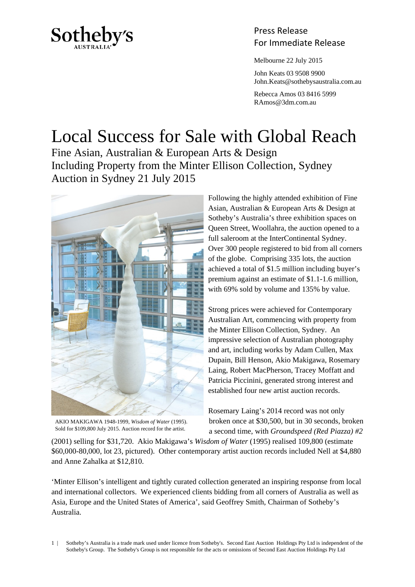

# Press Release Sotheby's<br>For Immediate Release

Melbourne 22 July 2015

 John Keats 03 9508 9900 John.Keats@sothebysaustralia.com.au

 Rebecca Amos 03 8416 5999 RAmos@3dm.com.au

# Local Success for Sale with Global Reach

Fine Asian, Australian & European Arts & Design Including Property from the Minter Ellison Collection, Sydney Auction in Sydney 21 July 2015



AKIO MAKIGAWA 1948-1999, *Wisdom of Water* (1995). Sold for \$109,800 July 2015. Auction record for the artist.

Following the highly attended exhibition of Fine Asian, Australian & European Arts & Design at Sotheby's Australia's three exhibition spaces on Queen Street, Woollahra, the auction opened to a full saleroom at the InterContinental Sydney. Over 300 people registered to bid from all corners of the globe. Comprising 335 lots, the auction achieved a total of \$1.5 million including buyer's premium against an estimate of \$1.1-1.6 million, with 69% sold by volume and 135% by value.

Strong prices were achieved for Contemporary Australian Art, commencing with property from the Minter Ellison Collection, Sydney. An impressive selection of Australian photography and art, including works by Adam Cullen, Max Dupain, Bill Henson, Akio Makigawa, Rosemary Laing, Robert MacPherson, Tracey Moffatt and Patricia Piccinini, generated strong interest and established four new artist auction records.

Rosemary Laing's 2014 record was not only broken once at \$30,500, but in 30 seconds, broken a second time, with *Groundspeed (Red Piazza) #2*

(2001) selling for \$31,720. Akio Makigawa's *Wisdom of Water* (1995) realised 109,800 (estimate \$60,000-80,000, lot 23, pictured). Other contemporary artist auction records included Nell at \$4,880 and Anne Zahalka at \$12,810.

'Minter Ellison's intelligent and tightly curated collection generated an inspiring response from local and international collectors. We experienced clients bidding from all corners of Australia as well as Asia, Europe and the United States of America', said Geoffrey Smith, Chairman of Sotheby's Australia.

1 | Sotheby's Australia is a trade mark used under licence from Sotheby's. Second East Auction Holdings Pty Ltd is independent of the Sotheby's Group. The Sotheby's Group is not responsible for the acts or omissions of Second East Auction Holdings Pty Ltd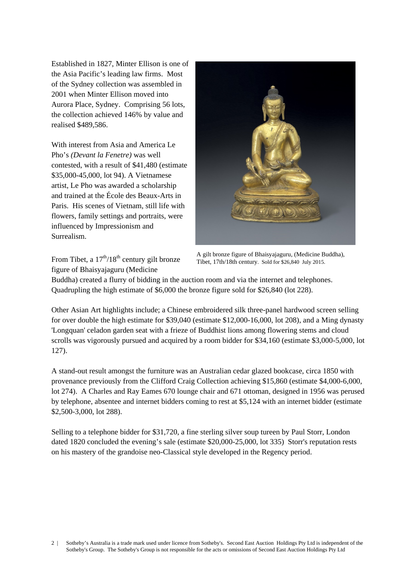Established in 1827, Minter Ellison is one of the Asia Pacific's leading law firms. Most of the Sydney collection was assembled in 2001 when Minter Ellison moved into Aurora Place, Sydney. Comprising 56 lots, the collection achieved 146% by value and realised \$489,586.

With interest from Asia and America Le Pho's *(Devant la Fenetre)* was well contested, with a result of \$41,480 (estimate \$35,000-45,000, lot 94). A Vietnamese artist, Le Pho was awarded a scholarship and trained at the École des Beaux-Arts in Paris. His scenes of Vietnam, still life with flowers, family settings and portraits, were influenced by Impressionism and Surrealism.



From Tibet, a  $17<sup>th</sup>/18<sup>th</sup>$  century gilt bronze figure of Bhaisyajaguru (Medicine

A gilt bronze figure of Bhaisyajaguru, (Medicine Buddha), Tibet, 17th/18th century. Sold for \$26,840 July 2015.

Buddha) created a flurry of bidding in the auction room and via the internet and telephones. Quadrupling the high estimate of \$6,000 the bronze figure sold for \$26,840 (lot 228).

Other Asian Art highlights include; a Chinese embroidered silk three-panel hardwood screen selling for over double the high estimate for \$39,040 (estimate \$12,000-16,000, lot 208), and a Ming dynasty 'Longquan' celadon garden seat with a frieze of Buddhist lions among flowering stems and cloud scrolls was vigorously pursued and acquired by a room bidder for \$34,160 (estimate \$3,000-5,000, lot 127).

A stand-out result amongst the furniture was an Australian cedar glazed bookcase, circa 1850 with provenance previously from the Clifford Craig Collection achieving \$15,860 (estimate \$4,000-6,000, lot 274). A Charles and Ray Eames 670 lounge chair and 671 ottoman, designed in 1956 was perused by telephone, absentee and internet bidders coming to rest at \$5,124 with an internet bidder (estimate \$2,500-3,000, lot 288).

Selling to a telephone bidder for \$31,720, a fine sterling silver soup tureen by Paul Storr, London dated 1820 concluded the evening's sale (estimate \$20,000-25,000, lot 335) Storr's reputation rests on his mastery of the grandoise neo-Classical style developed in the Regency period.